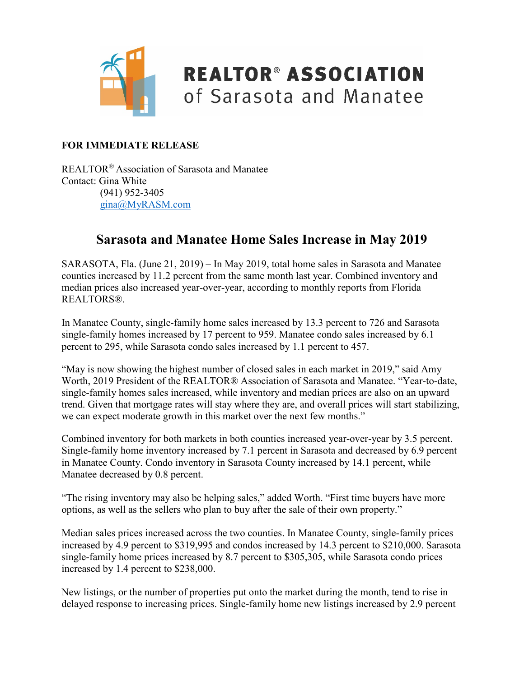

## **REALTOR® ASSOCIATION** of Sarasota and Manatee

#### **FOR IMMEDIATE RELEASE**

REALTOR® Association of Sarasota and Manatee Contact: Gina White (941) 952-3405 [gina@MyRASM.com](mailto:gina@MyRASM.com)

#### **Sarasota and Manatee Home Sales Increase in May 2019**

SARASOTA, Fla. (June 21, 2019) – In May 2019, total home sales in Sarasota and Manatee counties increased by 11.2 percent from the same month last year. Combined inventory and median prices also increased year-over-year, according to monthly reports from Florida REALTORS®.

In Manatee County, single-family home sales increased by 13.3 percent to 726 and Sarasota single-family homes increased by 17 percent to 959. Manatee condo sales increased by 6.1 percent to 295, while Sarasota condo sales increased by 1.1 percent to 457.

"May is now showing the highest number of closed sales in each market in 2019," said Amy Worth, 2019 President of the REALTOR® Association of Sarasota and Manatee. "Year-to-date, single-family homes sales increased, while inventory and median prices are also on an upward trend. Given that mortgage rates will stay where they are, and overall prices will start stabilizing, we can expect moderate growth in this market over the next few months."

Combined inventory for both markets in both counties increased year-over-year by 3.5 percent. Single-family home inventory increased by 7.1 percent in Sarasota and decreased by 6.9 percent in Manatee County. Condo inventory in Sarasota County increased by 14.1 percent, while Manatee decreased by 0.8 percent.

"The rising inventory may also be helping sales," added Worth. "First time buyers have more options, as well as the sellers who plan to buy after the sale of their own property."

Median sales prices increased across the two counties. In Manatee County, single-family prices increased by 4.9 percent to \$319,995 and condos increased by 14.3 percent to \$210,000. Sarasota single-family home prices increased by 8.7 percent to \$305,305, while Sarasota condo prices increased by 1.4 percent to \$238,000.

New listings, or the number of properties put onto the market during the month, tend to rise in delayed response to increasing prices. Single-family home new listings increased by 2.9 percent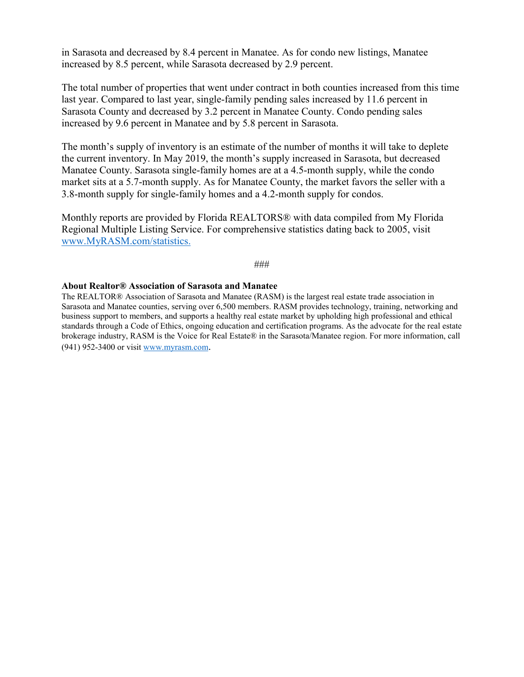in Sarasota and decreased by 8.4 percent in Manatee. As for condo new listings, Manatee increased by 8.5 percent, while Sarasota decreased by 2.9 percent.

The total number of properties that went under contract in both counties increased from this time last year. Compared to last year, single-family pending sales increased by 11.6 percent in Sarasota County and decreased by 3.2 percent in Manatee County. Condo pending sales increased by 9.6 percent in Manatee and by 5.8 percent in Sarasota.

The month's supply of inventory is an estimate of the number of months it will take to deplete the current inventory. In May 2019, the month's supply increased in Sarasota, but decreased Manatee County. Sarasota single-family homes are at a 4.5-month supply, while the condo market sits at a 5.7-month supply. As for Manatee County, the market favors the seller with a 3.8-month supply for single-family homes and a 4.2-month supply for condos.

Monthly reports are provided by Florida REALTORS® with data compiled from My Florida Regional Multiple Listing Service. For comprehensive statistics dating back to 2005, visit [www.MyRASM.com/statistics.](http://www.myrasm.com/statistics)

#### ###

#### **About Realtor® Association of Sarasota and Manatee**

The REALTOR® Association of Sarasota and Manatee (RASM) is the largest real estate trade association in Sarasota and Manatee counties, serving over 6,500 members. RASM provides technology, training, networking and business support to members, and supports a healthy real estate market by upholding high professional and ethical standards through a Code of Ethics, ongoing education and certification programs. As the advocate for the real estate brokerage industry, RASM is the Voice for Real Estate® in the Sarasota/Manatee region. For more information, call (941) 952-3400 or visi[t www.myrasm.com.](http://www.myrasm.com/)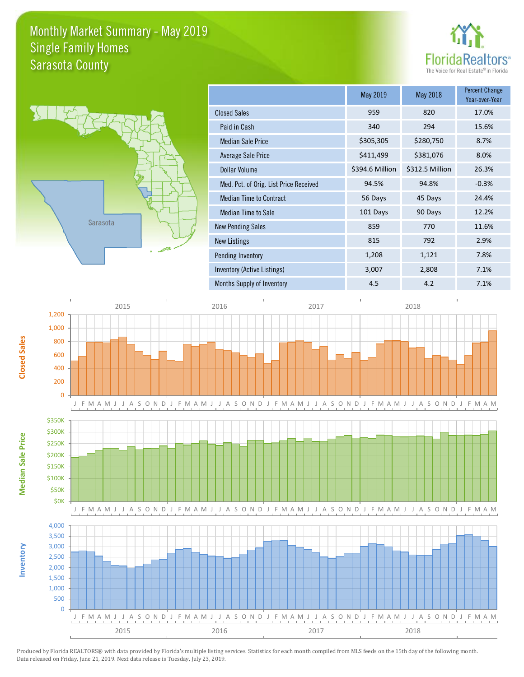### Monthly Market Summary - May 2019 Sarasota County Single Family Homes





**Inventory**

**Median Sale Price**

Median Sale Price

**Closed Sales**

|                                        | May 2019        | May 2018        | <b>Percent Change</b><br>Year-over-Year |
|----------------------------------------|-----------------|-----------------|-----------------------------------------|
| <b>Closed Sales</b>                    | 959             | 820             | 17.0%                                   |
| Paid in Cash                           | 340             | 294             | 15.6%                                   |
| <b>Median Sale Price</b>               | \$305,305       | \$280,750       | 8.7%                                    |
| Average Sale Price                     | \$411,499       | \$381,076       | 8.0%                                    |
| Dollar Volume                          | \$394.6 Million | \$312.5 Million | 26.3%                                   |
| Med. Pct. of Orig. List Price Received | 94.5%           | 94.8%           | $-0.3%$                                 |
| <b>Median Time to Contract</b>         | 56 Days         | 45 Days         | 24.4%                                   |
| Median Time to Sale                    | 101 Days        | 90 Days         | 12.2%                                   |
| <b>New Pending Sales</b>               | 859             | 770             | 11.6%                                   |
| <b>New Listings</b>                    | 815             | 792             | 2.9%                                    |
| Pending Inventory                      | 1,208           | 1,121           | 7.8%                                    |
| Inventory (Active Listings)            | 3,007           | 2,808           | 7.1%                                    |
| Months Supply of Inventory             | 4.5             | 4.2             | 7.1%                                    |

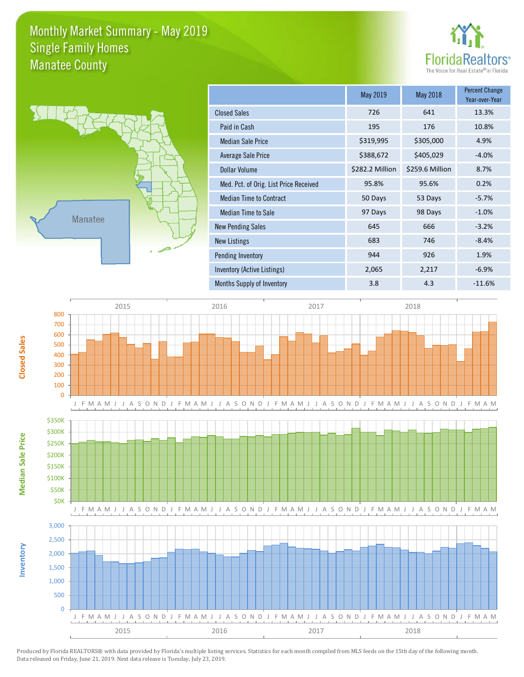#### Monthly Market Summary - May 2019 Manatee County Single Family Homes





**Inventory**

**Median Sale Price**

Median Sale Price

**Closed Sales**

|                                        | May 2019        | May 2018        | <b>Percent Change</b><br>Year-over-Year |
|----------------------------------------|-----------------|-----------------|-----------------------------------------|
| <b>Closed Sales</b>                    | 726             | 641             | 13.3%                                   |
| Paid in Cash                           | 195             | 176             | 10.8%                                   |
| <b>Median Sale Price</b>               | \$319,995       | \$305,000       | 4.9%                                    |
| Average Sale Price                     | \$388,672       | \$405,029       | $-4.0%$                                 |
| Dollar Volume                          | \$282.2 Million | \$259.6 Million | 8.7%                                    |
| Med. Pct. of Orig. List Price Received | 95.8%           | 95.6%           | 0.2%                                    |
| <b>Median Time to Contract</b>         | 50 Days         | 53 Days         | $-5.7%$                                 |
| Median Time to Sale                    | 97 Days         | 98 Days         | $-1.0%$                                 |
| <b>New Pending Sales</b>               | 645             | 666             | $-3.2%$                                 |
| <b>New Listings</b>                    | 683             | 746             | $-8.4%$                                 |
| Pending Inventory                      | 944             | 926             | 1.9%                                    |
| Inventory (Active Listings)            | 2,065           | 2,217           | $-6.9%$                                 |
| Months Supply of Inventory             | 3.8             | 4.3             | $-11.6%$                                |

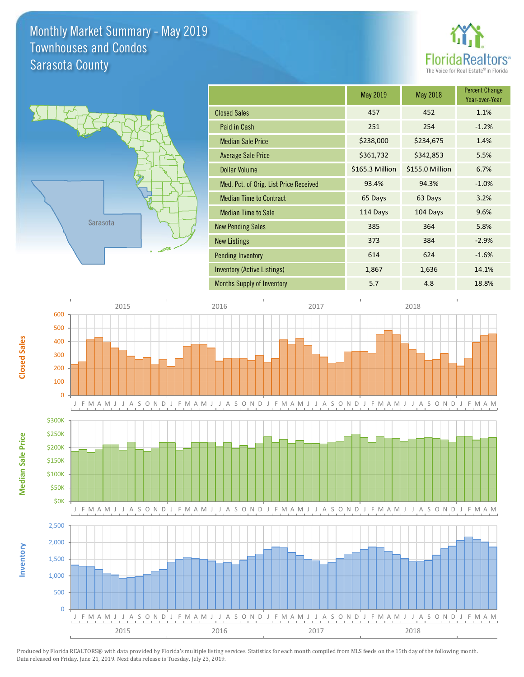#### Monthly Market Summary - May 2019 Sarasota County Townhouses and Condos



|                                        | May 2019        | May 2018        | <b>Percent Change</b><br>Year-over-Year |
|----------------------------------------|-----------------|-----------------|-----------------------------------------|
| <b>Closed Sales</b>                    | 457             | 452             | 1.1%                                    |
| Paid in Cash                           | 251             | 254             | $-1.2%$                                 |
| <b>Median Sale Price</b>               | \$238,000       | \$234,675       | 1.4%                                    |
| <b>Average Sale Price</b>              | \$361,732       | \$342,853       | 5.5%                                    |
| Dollar Volume                          | \$165.3 Million | \$155.0 Million | 6.7%                                    |
| Med. Pct. of Orig. List Price Received | 93.4%           | 94.3%           | $-1.0%$                                 |
| <b>Median Time to Contract</b>         | 65 Days         | 63 Days         | 3.2%                                    |
| <b>Median Time to Sale</b>             | 114 Days        | 104 Days        | 9.6%                                    |
| <b>New Pending Sales</b>               | 385             | 364             | 5.8%                                    |
| <b>New Listings</b>                    | 373             | 384             | $-2.9%$                                 |
| <b>Pending Inventory</b>               | 614             | 624             | $-1.6%$                                 |
| Inventory (Active Listings)            | 1,867           | 1,636           | 14.1%                                   |
| <b>Months Supply of Inventory</b>      | 5.7             | 4.8             | 18.8%                                   |

**Florid** 

The Voice for Real Estate® in Florida

tors



Produced by Florida REALTORS® with data provided by Florida's multiple listing services. Statistics for each month compiled from MLS feeds on the 15th day of the following month. Data released on Friday, June 21, 2019. Next data release is Tuesday, July 23, 2019.

**Closed Sales**

**Inventory**

**Median Sale Price**

Median Sale Price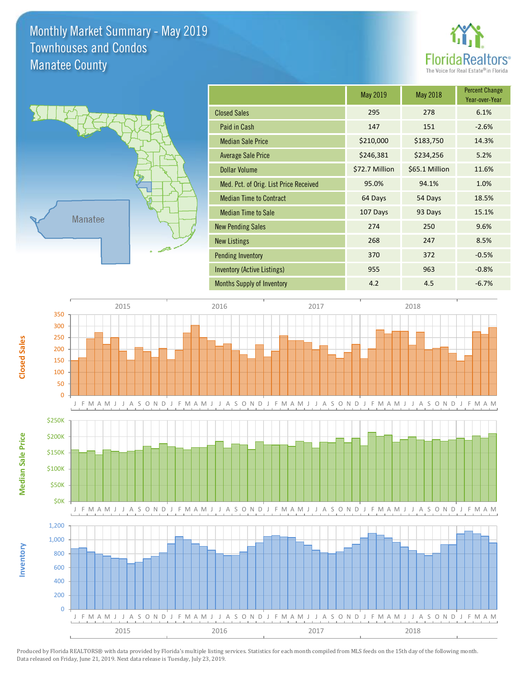#### Monthly Market Summary - May 2019 Manatee County Townhouses and Condos



|                                        | May 2019       | May 2018       | <b>Percent Change</b><br>Year-over-Year |
|----------------------------------------|----------------|----------------|-----------------------------------------|
| <b>Closed Sales</b>                    | 295            | 278            | 6.1%                                    |
| Paid in Cash                           | 147            | 151            | $-2.6%$                                 |
| <b>Median Sale Price</b>               | \$210,000      | \$183,750      | 14.3%                                   |
| <b>Average Sale Price</b>              | \$246,381      | \$234,256      | 5.2%                                    |
| Dollar Volume                          | \$72.7 Million | \$65.1 Million | 11.6%                                   |
| Med. Pct. of Orig. List Price Received | 95.0%          | 94.1%          | 1.0%                                    |
| <b>Median Time to Contract</b>         | 64 Days        | 54 Days        | 18.5%                                   |
| <b>Median Time to Sale</b>             | 107 Days       | 93 Days        | 15.1%                                   |
| <b>New Pending Sales</b>               | 274            | 250            | 9.6%                                    |
| <b>New Listings</b>                    | 268            | 247            | 8.5%                                    |
| <b>Pending Inventory</b>               | 370            | 372            | $-0.5%$                                 |
| Inventory (Active Listings)            | 955            | 963            | $-0.8%$                                 |
| <b>Months Supply of Inventory</b>      | 4.2            | 4.5            | $-6.7%$                                 |

**Florid** 

The Voice for Real Estate® in Florida

tors



Produced by Florida REALTORS® with data provided by Florida's multiple listing services. Statistics for each month compiled from MLS feeds on the 15th day of the following month. Data released on Friday, June 21, 2019. Next data release is Tuesday, July 23, 2019.

**Closed Sales**

**Inventory**

**Median Sale Price**

Median Sale Price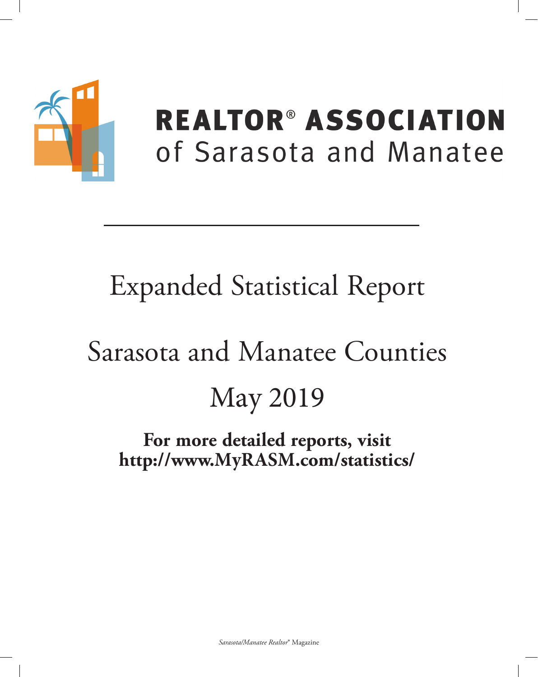

# **REALTOR® ASSOCIATION** of Sarasota and Manatee

# **Expanded Statistical Report**

# Sarasota and Manatee Counties **May 2019**

## For more detailed reports, visit http://www.MyRASM.com/statistics/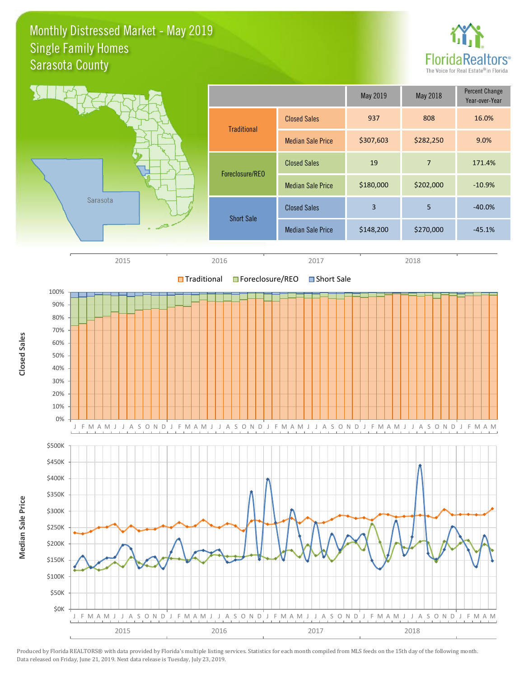#### Monthly Distressed Market - May 2019 Sarasota County Single Family Homes



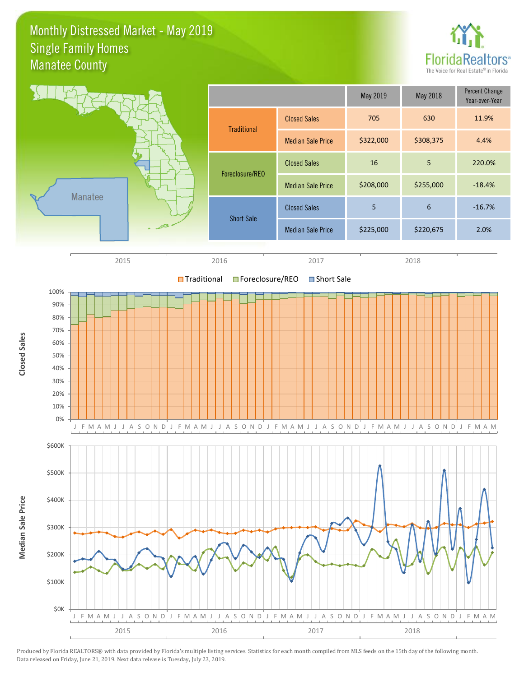#### Monthly Distressed Market - May 2019 Manatee County Single Family Homes



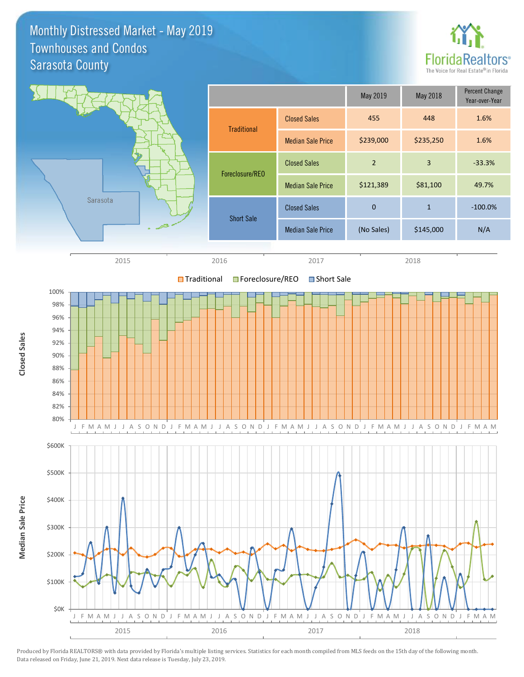Monthly Distressed Market - May 2019 Sarasota County Townhouses and Condos